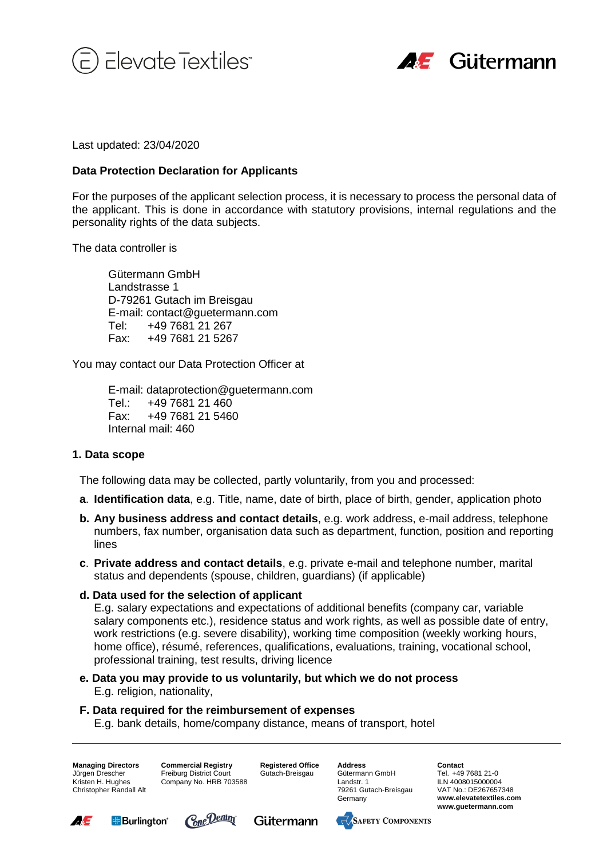



Last updated: 23/04/2020

## **Data Protection Declaration for Applicants**

For the purposes of the applicant selection process, it is necessary to process the personal data of the applicant. This is done in accordance with statutory provisions, internal regulations and the personality rights of the data subjects.

The data controller is

Gütermann GmbH Landstrasse 1 D-79261 Gutach im Breisgau E-mail: contact@guetermann.com Tel: +49 7681 21 267 Fax: +49 7681 21 5267

You may contact our Data Protection Officer at

E-mail: dataprotection@guetermann.com Tel.: +49 7681 21 460 Fax: +49 7681 21 5460 Internal mail: 460

## **1. Data scope**

The following data may be collected, partly voluntarily, from you and processed:

- **a**. **Identification data**, e.g. Title, name, date of birth, place of birth, gender, application photo
- **b. Any business address and contact details**, e.g. work address, e-mail address, telephone numbers, fax number, organisation data such as department, function, position and reporting lines
- **c**. **Private address and contact details**, e.g. private e-mail and telephone number, marital status and dependents (spouse, children, guardians) (if applicable)
- **d. Data used for the selection of applicant**

E.g. salary expectations and expectations of additional benefits (company car, variable salary components etc.), residence status and work rights, as well as possible date of entry, work restrictions (e.g. severe disability), working time composition (weekly working hours, home office), résumé, references, qualifications, evaluations, training, vocational school, professional training, test results, driving licence

**e. Data you may provide to us voluntarily, but which we do not process** E.g. religion, nationality,

# **F. Data required for the reimbursement of expenses**

E.g. bank details, home/company distance, means of transport, hotel

**Managing Directors** Jürgen Drescher Kristen H. Hughes Christopher Randall Alt **Commercial Registry** Freiburg District Court Company No. HRB 703588 **Registered Office** Gutach-Breisgau

**Address** Gütermann GmbH Landstr. 1 79261 Gutach-Breisgau Germany

**Contact** Tel. +49 7681 21-0 ILN 4008015000004 VAT No.: DE267657348 **www.elevatetextiles.com www.guetermann.com**







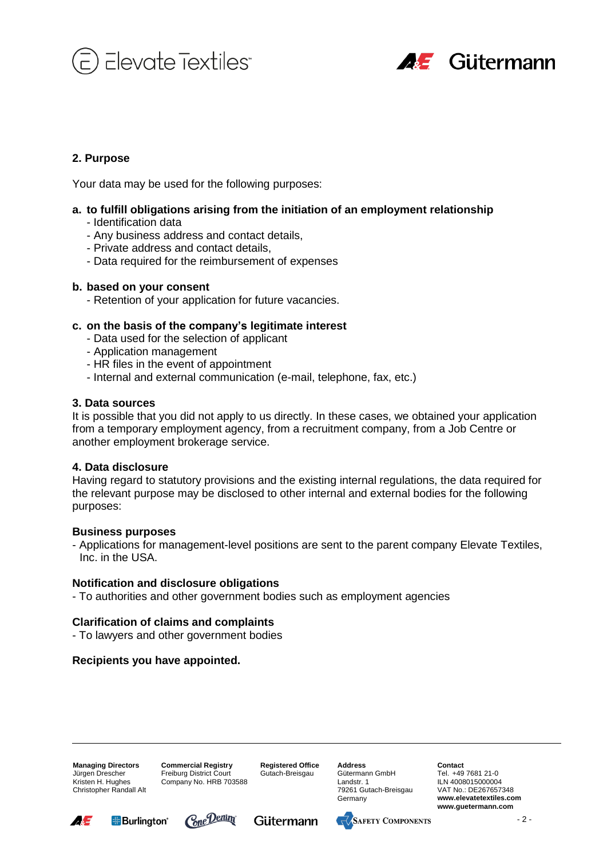



# **2. Purpose**

Your data may be used for the following purposes:

## **a. to fulfill obligations arising from the initiation of an employment relationship**

- Identification data
- Any business address and contact details,
- Private address and contact details,
- Data required for the reimbursement of expenses

### **b. based on your consent**

- Retention of your application for future vacancies.

## **c. on the basis of the company's legitimate interest**

- Data used for the selection of applicant
- Application management
- HR files in the event of appointment
- Internal and external communication (e-mail, telephone, fax, etc.)

### **3. Data sources**

It is possible that you did not apply to us directly. In these cases, we obtained your application from a temporary employment agency, from a recruitment company, from a Job Centre or another employment brokerage service.

#### **4. Data disclosure**

Having regard to statutory provisions and the existing internal regulations, the data required for the relevant purpose may be disclosed to other internal and external bodies for the following purposes:

#### **Business purposes**

- Applications for management-level positions are sent to the parent company Elevate Textiles, Inc. in the USA.

#### **Notification and disclosure obligations**

- To authorities and other government bodies such as employment agencies

## **Clarification of claims and complaints**

- To lawyers and other government bodies

## **Recipients you have appointed.**

**Managing Directors** Jürgen Drescher Kristen H. Hughes Christopher Randall Alt **Commercial Registry** Freiburg District Court Company No. HRB 703588

**Registered Office** Gutach-Breisgau

**Address** Gütermann GmbH Landstr. 1 79261 Gutach-Breisgau Germany

**Contact** Tel. +49 7681 21-0 ILN 4008015000004 VAT No.: DE267657348 **www.elevatetextiles.com www.guetermann.com**







ww.elevatetextiles.com  $-2 -$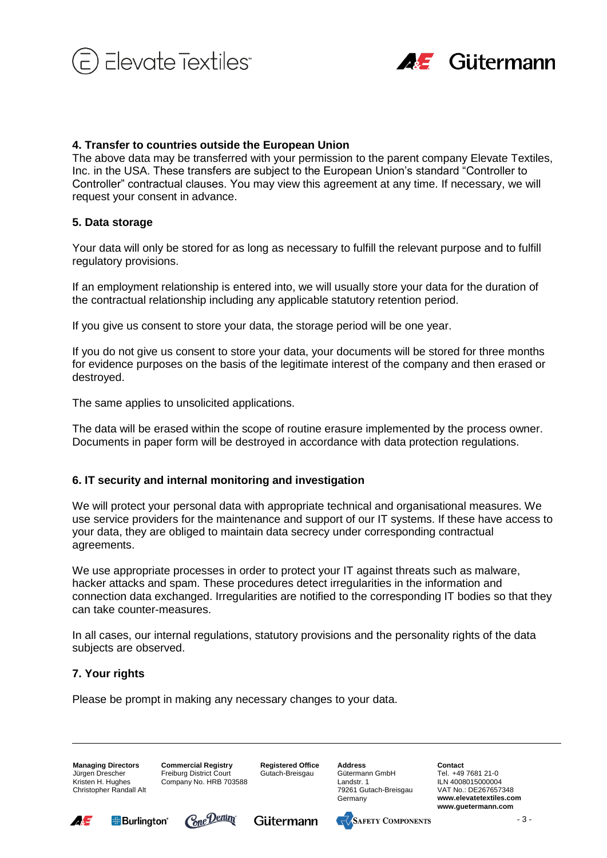



## **4. Transfer to countries outside the European Union**

The above data may be transferred with your permission to the parent company Elevate Textiles, Inc. in the USA. These transfers are subject to the European Union's standard "Controller to Controller" contractual clauses. You may view this agreement at any time. If necessary, we will request your consent in advance.

## **5. Data storage**

Your data will only be stored for as long as necessary to fulfill the relevant purpose and to fulfill regulatory provisions.

If an employment relationship is entered into, we will usually store your data for the duration of the contractual relationship including any applicable statutory retention period.

If you give us consent to store your data, the storage period will be one year.

If you do not give us consent to store your data, your documents will be stored for three months for evidence purposes on the basis of the legitimate interest of the company and then erased or destroyed.

The same applies to unsolicited applications.

The data will be erased within the scope of routine erasure implemented by the process owner. Documents in paper form will be destroyed in accordance with data protection regulations.

## **6. IT security and internal monitoring and investigation**

We will protect your personal data with appropriate technical and organisational measures. We use service providers for the maintenance and support of our IT systems. If these have access to your data, they are obliged to maintain data secrecy under corresponding contractual agreements.

We use appropriate processes in order to protect your IT against threats such as malware, hacker attacks and spam. These procedures detect irregularities in the information and connection data exchanged. Irregularities are notified to the corresponding IT bodies so that they can take counter-measures.

In all cases, our internal regulations, statutory provisions and the personality rights of the data subjects are observed.

# **7. Your rights**

Please be prompt in making any necessary changes to your data.

**Managing Directors** Jürgen Drescher Kristen H. Hughes Christopher Randall Alt **Commercial Registry** Freiburg District Court Company No. HRB 703588 **Registered Office** Gutach-Breisgau

**Address** Gütermann GmbH Landstr. 1 79261 Gutach-Breisgau Germany

**Contact** Tel. +49 7681 21-0 ILN 4008015000004 VAT No.: DE267657348 **www.elevatetextiles.com www.guetermann.com**